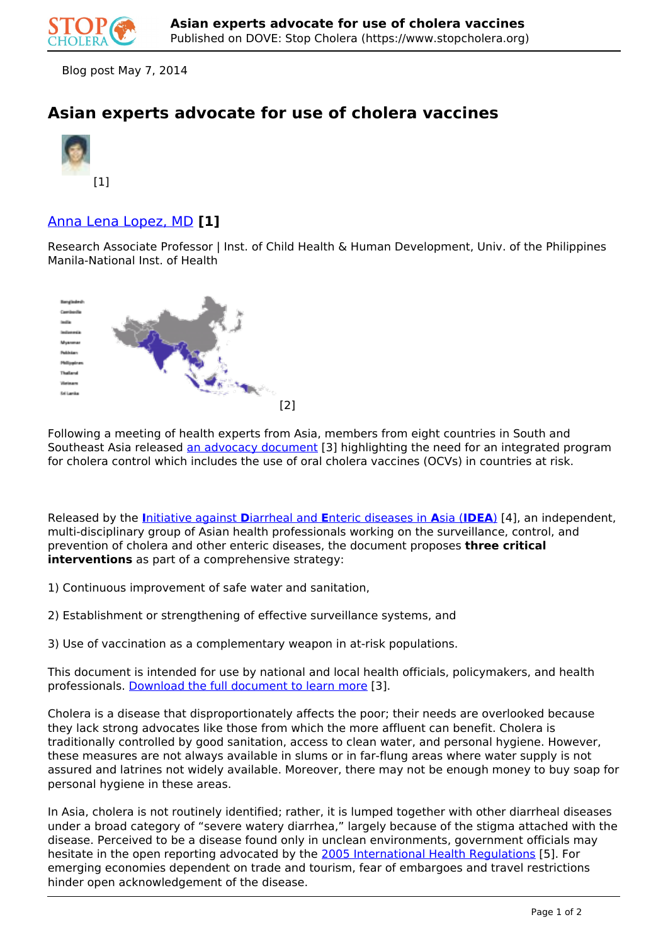

Blog post May 7, 2014

## **Asian experts advocate for use of cholera vaccines**



## Anna Lena Lopez, MD **[1]**

Research Associate Professor | Inst. of Child Health & Human Development, Univ. of the Philippines Manila-National Inst. of Health



Following a meeting of health experts from Asia, members from eight countries in South and Southeast Asia released an advocacy document [3] highlighting the need for an integrated program for cholera control which includes the use of oral cholera vaccines (OCVs) in countries at risk.

Released by the **I**nitiative against **D**iarrheal and **E**nteric diseases in **A**sia (**IDEA**) [4], an independent, multi-disciplinary group of Asian health professionals working on the surveillance, control, and prevention of cholera and other enteric diseases, the document proposes **three critical interventions** as part of a comprehensive strategy:

- 1) Continuous improvement of safe water and sanitation,
- 2) Establishment or strengthening of effective surveillance systems, and
- 3) Use of vaccination as a complementary weapon in at-risk populations.

This document is intended for use by national and local health officials, policymakers, and health professionals. Download the full document to learn more [3].

Cholera is a disease that disproportionately affects the poor; their needs are overlooked because they lack strong advocates like those from which the more affluent can benefit. Cholera is traditionally controlled by good sanitation, access to clean water, and personal hygiene. However, these measures are not always available in slums or in far-flung areas where water supply is not assured and latrines not widely available. Moreover, there may not be enough money to buy soap for personal hygiene in these areas.

In Asia, cholera is not routinely identified; rather, it is lumped together with other diarrheal diseases under a broad category of "severe watery diarrhea," largely because of the stigma attached with the disease. Perceived to be a disease found only in unclean environments, government officials may hesitate in the open reporting advocated by the 2005 International Health Regulations [5]. For emerging economies dependent on trade and tourism, fear of embargoes and travel restrictions hinder open acknowledgement of the disease.